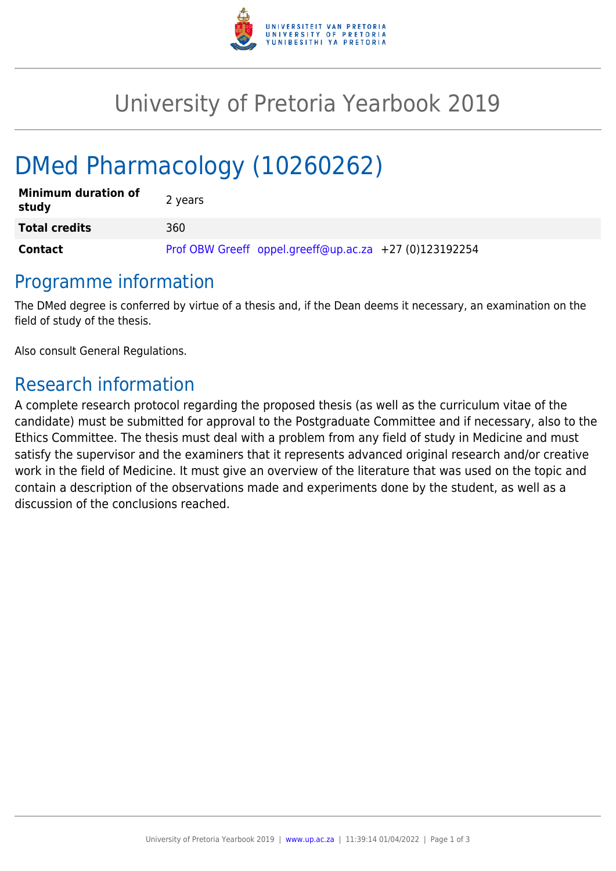

# University of Pretoria Yearbook 2019

# DMed Pharmacology (10260262)

| <b>Minimum duration of</b><br>study | 2 years                                                |
|-------------------------------------|--------------------------------------------------------|
| <b>Total credits</b>                | 360                                                    |
| Contact                             | Prof OBW Greeff oppel.greeff@up.ac.za +27 (0)123192254 |

### Programme information

The DMed degree is conferred by virtue of a thesis and, if the Dean deems it necessary, an examination on the field of study of the thesis.

Also consult General Regulations.

## Research information

A complete research protocol regarding the proposed thesis (as well as the curriculum vitae of the candidate) must be submitted for approval to the Postgraduate Committee and if necessary, also to the Ethics Committee. The thesis must deal with a problem from any field of study in Medicine and must satisfy the supervisor and the examiners that it represents advanced original research and/or creative work in the field of Medicine. It must give an overview of the literature that was used on the topic and contain a description of the observations made and experiments done by the student, as well as a discussion of the conclusions reached.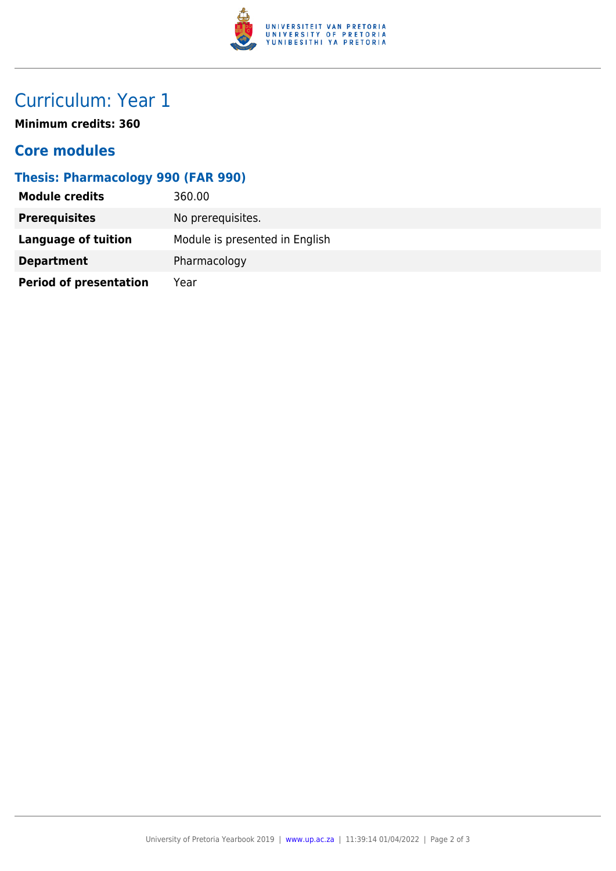

# Curriculum: Year 1

**Minimum credits: 360**

#### **Core modules**

#### **Thesis: Pharmacology 990 (FAR 990)**

| <b>Module credits</b>         | 360.00                         |
|-------------------------------|--------------------------------|
| <b>Prerequisites</b>          | No prerequisites.              |
| Language of tuition           | Module is presented in English |
| <b>Department</b>             | Pharmacology                   |
| <b>Period of presentation</b> | Year                           |